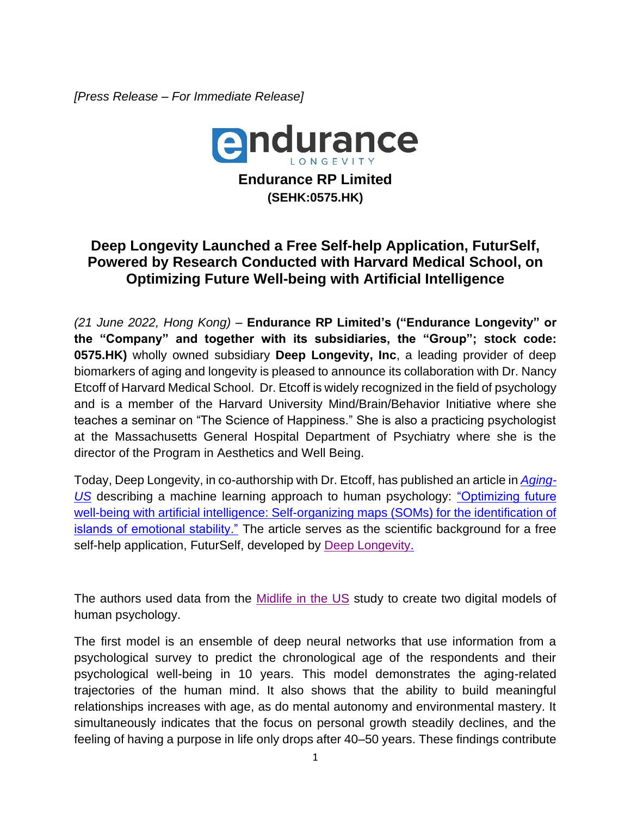*[Press Release – For Immediate Release]*



## **Deep Longevity Launched a Free Self-help Application, FuturSelf, Powered by Research Conducted with Harvard Medical School, on Optimizing Future Well-being with Artificial Intelligence**

*(21 June 2022, Hong Kong)* – **Endurance RP Limited's ("Endurance Longevity" or the "Company" and together with its subsidiaries, the "Group"; stock code: 0575.HK)** wholly owned subsidiary **Deep Longevity, Inc**, a leading provider of deep biomarkers of aging and longevity is pleased to announce its collaboration with Dr. Nancy Etcoff of Harvard Medical School. Dr. Etcoff is widely recognized in the field of psychology and is a member of the Harvard University Mind/Brain/Behavior Initiative where she teaches a seminar on "The Science of Happiness." She is also a practicing psychologist at the Massachusetts General Hospital Department of Psychiatry where she is the director of the Program in Aesthetics and Well Being.

Today, Deep Longevity, in co-authorship with Dr. Etcoff, has published an article in *[Aging-](https://dx.doi.org/10.18632/aging.204061)[US](https://dx.doi.org/10.18632/aging.204061)* describing a machine learning approach to human psychology: ["Optimizing future](https://dx.doi.org/10.18632/aging.204061)  well-being [with artificial intelligence: Self-organizing maps \(SOMs\) for the identification of](https://dx.doi.org/10.18632/aging.204061)  [islands of emotional stability."](https://dx.doi.org/10.18632/aging.204061) The article serves as the scientific background for a free self-help application, FuturSelf, developed by [Deep Longevity.](https://www.deeplongevity.com/)

The authors used data from the [Midlife in the US](http://midus.wisc.edu/) study to create two digital models of human psychology.

The first model is an ensemble of deep neural networks that use information from a psychological survey to predict the chronological age of the respondents and their psychological well-being in 10 years. This model demonstrates the aging-related trajectories of the human mind. It also shows that the ability to build meaningful relationships increases with age, as do mental autonomy and environmental mastery. It simultaneously indicates that the focus on personal growth steadily declines, and the feeling of having a purpose in life only drops after 40–50 years. These findings contribute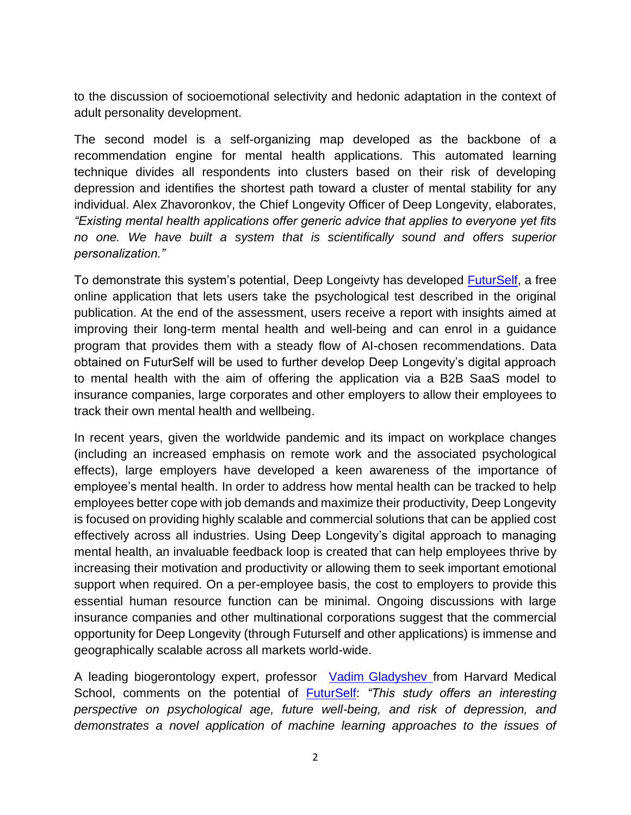to the discussion of socioemotional selectivity and hedonic adaptation in the context of adult personality development.

The second model is a self-organizing map developed as the backbone of a recommendation engine for mental health applications. This automated learning technique divides all respondents into clusters based on their risk of developing depression and identifies the shortest path toward a cluster of mental stability for any individual. Alex Zhavoronkov, the Chief Longevity Officer of Deep Longevity, elaborates, *"Existing mental health applications offer generic advice that applies to everyone yet fits no one. We have built a system that is scientifically sound and offers superior personalization."*

To demonstrate this system's potential, Deep Longeivty has developed **FuturSelf**, a free online application that lets users take the psychological test described in the original publication. At the end of the assessment, users receive a report with insights aimed at improving their long-term mental health and well-being and can enrol in a guidance program that provides them with a steady flow of AI-chosen recommendations. Data obtained on FuturSelf will be used to further develop Deep Longevity's digital approach to mental health with the aim of offering the application via a B2B SaaS model to insurance companies, large corporates and other employers to allow their employees to track their own mental health and wellbeing.

In recent years, given the worldwide pandemic and its impact on workplace changes (including an increased emphasis on remote work and the associated psychological effects), large employers have developed a keen awareness of the importance of employee's mental health. In order to address how mental health can be tracked to help employees better cope with job demands and maximize their productivity, Deep Longevity is focused on providing highly scalable and commercial solutions that can be applied cost effectively across all industries. Using Deep Longevity's digital approach to managing mental health, an invaluable feedback loop is created that can help employees thrive by increasing their motivation and productivity or allowing them to seek important emotional support when required. On a per-employee basis, the cost to employers to provide this essential human resource function can be minimal. Ongoing discussions with large insurance companies and other multinational corporations suggest that the commercial opportunity for Deep Longevity (through Futurself and other applications) is immense and geographically scalable across all markets world-wide.

A leading biogerontology expert, professor Vadim [Gladyshev](https://gladyshevlab.bwh.harvard.edu/) from Harvard Medical School, comments on the potential of [FuturSelf:](futurself.ai/) *"This study offers an interesting perspective on psychological age, future well-being, and risk of depression, and demonstrates a novel application of machine learning approaches to the issues of*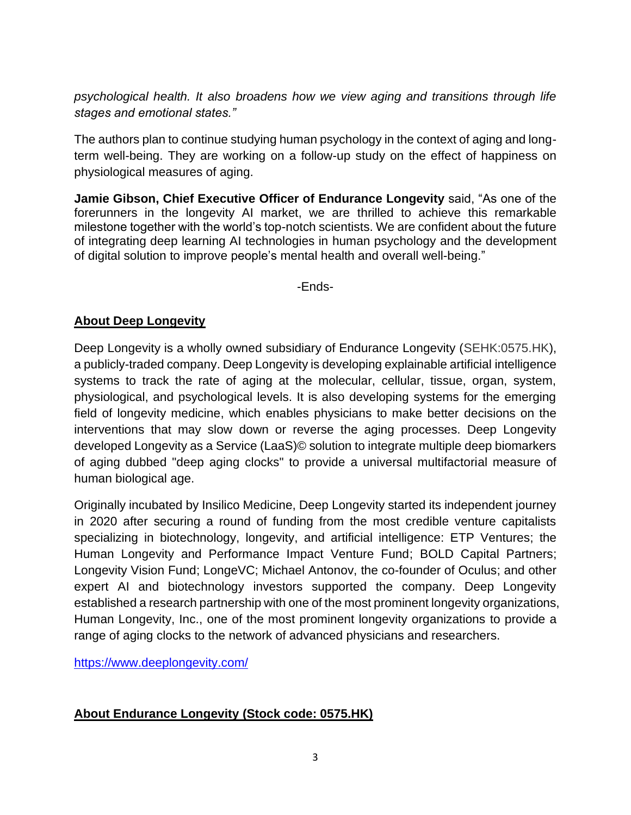*psychological health. It also broadens how we view aging and transitions through life stages and emotional states."*

The authors plan to continue studying human psychology in the context of aging and longterm well-being. They are working on a follow-up study on the effect of happiness on physiological measures of aging.

**Jamie Gibson, Chief Executive Officer of Endurance Longevity** said, "As one of the forerunners in the longevity AI market, we are thrilled to achieve this remarkable milestone together with the world's top-notch scientists. We are confident about the future of integrating deep learning AI technologies in human psychology and the development of digital solution to improve people's mental health and overall well-being."

-Ends-

## **About Deep Longevity**

Deep Longevity is a wholly owned subsidiary of Endurance Longevity (SEHK:0575.HK), a publicly-traded company. Deep Longevity is developing explainable artificial intelligence systems to track the rate of aging at the molecular, cellular, tissue, organ, system, physiological, and psychological levels. It is also developing systems for the emerging field of longevity medicine, which enables physicians to make better decisions on the interventions that may slow down or reverse the aging processes. Deep Longevity developed Longevity as a Service (LaaS)© solution to integrate multiple deep biomarkers of aging dubbed "deep aging clocks" to provide a universal multifactorial measure of human biological age.

Originally incubated by Insilico Medicine, Deep Longevity started its independent journey in 2020 after securing a round of funding from the most credible venture capitalists specializing in biotechnology, longevity, and artificial intelligence: ETP Ventures; the Human Longevity and Performance Impact Venture Fund; BOLD Capital Partners; Longevity Vision Fund; LongeVC; Michael Antonov, the co-founder of Oculus; and other expert AI and biotechnology investors supported the company. Deep Longevity established a research partnership with one of the most prominent longevity organizations, Human Longevity, Inc., one of the most prominent longevity organizations to provide a range of aging clocks to the network of advanced physicians and researchers.

<https://www.deeplongevity.com/>

## **About Endurance Longevity (Stock code: 0575.HK)**